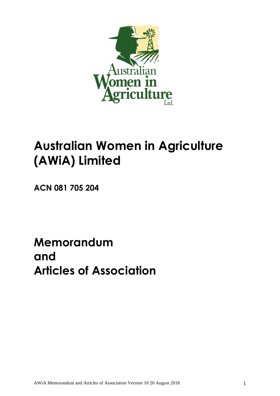

# **Australian Women in Agriculture (AWiA) Limited**

**ACN 081 705 204**

**Memorandum and Articles of Association**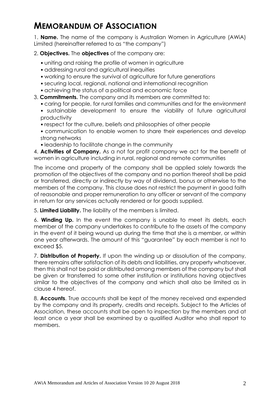# **MEMORANDUM OF ASSOCIATION**

1. **Name.** The name of the company is Australian Women in Agriculture (AWiA) Limited (hereinafter referred to as "the company")

2. **Objectives.** The **objectives** of the company are:

- uniting and raising the profile of women in agriculture
- addressing rural and agricultural inequities
- working to ensure the survival of agriculture for future generations
- securing local, regional, national and international recognition
- achieving the status of a political and economic force

3. **Commitments.** The company and its members are committed to:

- caring for people, for rural families and communities and for the environment • sustainable development to ensure the viability of future agricultural
- productivity
- respect for the culture, beliefs and philosophies of other people
- communication to enable women to share their experiences and develop strong networks
- leadership to facilitate change in the community

4. **Activities of Company.** As a not for profit company we act for the benefit of women in agriculture including in rural, regional and remote communities

The income and property of the company shall be applied solely towards the promotion of the objectives of the company and no portion thereof shall be paid or transferred, directly or indirectly by way of dividend, bonus or otherwise to the members of the company. This clause does not restrict the payment in good faith of reasonable and proper remuneration to any officer or servant of the company in return for any services actually rendered or for goods supplied.

5. **Limited Liability.** The liability of the members is limited.

6. **Winding Up.** In the event the company is unable to meet its debts, each member of the company undertakes to contribute to the assets of the company in the event of it being wound up during the time that she is a member, or within one year afterwards. The amount of this "guarantee" by each member is not to exceed \$5.

7. **Distribution of Property.** If upon the winding up or dissolution of the company, there remains after satisfaction of its debts and liabilities, any property whatsoever, then this shall not be paid or distributed among members of the company but shall be given or transferred to some other institution or institutions having objectives similar to the objectives of the company and which shall also be limited as in clause 4 hereof.

8. **Accounts**. True accounts shall be kept of the money received and expended by the company and its property, credits and receipts. Subject to the Articles of Association, these accounts shall be open to inspection by the members and at least once a year shall be examined by a qualified Auditor who shall report to members.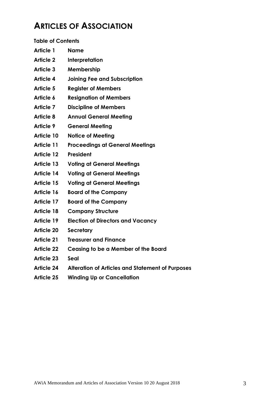# **ARTICLES OF ASSOCIATION**

| <b>Table of Contents</b> |
|--------------------------|
|--------------------------|

| Name |
|------|
|      |

- **Article 2 Interpretation**
- **Article 3 Membership**
- **Article 4 Joining Fee and Subscription**
- **Article 5 Register of Members**
- **Article 6 Resignation of Members**
- **Article 7 Discipline of Members**
- **Article 8 Annual General Meeting**
- **Article 9 General Meeting**
- **Article 10 Notice of Meeting**
- **Article 11 Proceedings at General Meetings**
- **Article 12 President**
- **Article 13 Voting at General Meetings**
- **Article 14 Voting at General Meetings**
- **Article 15 Voting at General Meetings**
- **Article 16 Board of the Company**
- **Article 17 Board of the Company**
- **Article 18 Company Structure**
- **Article 19 Election of Directors and Vacancy**
- **Article 20 Secretary**
- **Article 21 Treasurer and Finance**
- **Article 22 Ceasing to be a Member of the Board**
- **Article 23 Seal**
- **Article 24 Alteration of Articles and Statement of Purposes**
- **Article 25 Winding Up or Cancellation**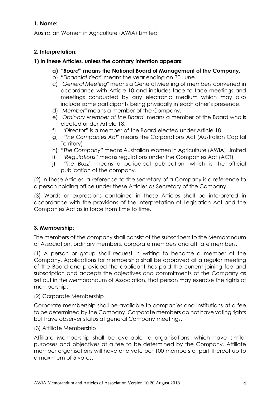# **1. Name:**

Australian Women in Agriculture (AWiA) Limited

# **2. Interpretation:**

#### **1) In these Articles, unless the contrary intention appears:**

- **a)** *"Board***" means the National Board of Management of the Company.**
- b) *"Financial Year*" means the year ending on 30 June.
- c) "*General Meeting*" means a General Meeting of members convened in accordance with Article 10 and includes face to face meetings and meetings conducted by any electronic medium which may also include some participants being physically in each other's presence.
- d) "*Member*" means a member of the Company.
- e) "*Ordinary Member of the Board*" means a member of the Board who is elected under Article 18.
- f) "*Directo*r" is a member of the Board elected under Article 18.
- g) "*The Companies Act*" means the Corporations Act (Australian Capital Territory)
- h) "*The Company*" means Australian Women in Agriculture (AWiA) Limited
- i) "*Regulations*" means regulations under the Companies Act (ACT)
- j) "*The Buzz*" means a periodical publication, which is the official publication of the company.

(2) In these Articles, a reference to the secretary of a Company is a reference to a person holding office under these Articles as Secretary of the Company.

(3) Words or expressions contained in these Articles shall be interpreted in accordance with the provisions of the Interpretation of Legislation Act and the Companies Act as in force from time to time.

# **3. Membership:**

The members of the company shall consist of the subscribers to the Memorandum of Association, ordinary members, corporate members and affiliate members.

(1) A person or group shall request in writing to become a member of the Company. Applications for membership shall be approved at a regular meeting of the Board and provided the applicant has paid the current joining fee and subscription and accepts the objectives and commitments of the Company as set out in the Memorandum of Association, that person may exercise the rights of membership.

# (2) Corporate Membership

Corporate membership shall be available to companies and institutions at a fee to be determined by the Company. Corporate members do not have voting rights but have observer status at general Company meetings.

#### (3) Affiliate Membership

Affiliate Membership shall be available to organisations, which have similar purposes and objectives at a fee to be determined by the Company. Affiliate member organisations will have one vote per 100 members or part thereof up to a maximum of 5 votes.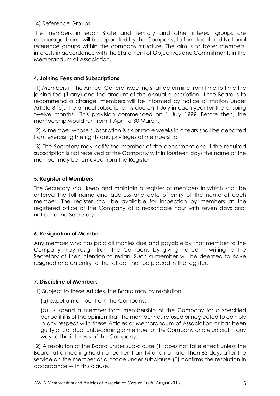#### (4) Reference Groups

The members in each State and Territory and other interest groups are encouraged, and will be supported by the Company, to form local and National reference groups within the company structure. The aim is to foster members' interests in accordance with the Statement of Objectives and Commitments in the Memorandum of Association.

# **4. Joining Fees and Subscriptions**

(1) Members in the Annual General Meeting shall determine from time to time the joining fee (if any) and the amount of the annual subscription. If the Board is to recommend a change, members will be informed by notice of motion under Article 8 (5). The annual subscription is due on 1 July in each year for the ensuing twelve months. (This provision commenced on 1 July 1999. Before then, the membership would run from 1 April to 30 March.)

(2) A member whose subscription is six or more weeks in arrears shall be debarred from exercising the rights and privileges of membership.

(3) The Secretary may notify the member of the debarment and if the required subscription is not received at the Company within fourteen days the name of the member may be removed from the Register.

# **5. Register of Members**

The Secretary shall keep and maintain a register of members in which shall be entered the full name and address and date of entry of the name of each member. The register shall be available for inspection by members at the registered office of the Company at a reasonable hour with seven days prior notice to the Secretary.

# **6. Resignation of Member**

Any member who has paid all monies due and payable by that member to the Company may resign from the Company by giving notice in writing to the Secretary of their intention to resign. Such a member will be deemed to have resigned and an entry to that effect shall be placed in the register.

# **7. Discipline of Members**

(1) Subject to these Articles, the Board may by resolution:

(a) expel a member from the Company.

(b) suspend a member from membership of the Company for a specified period if it is of the opinion that the member has refused or neglected to comply in any respect with these Articles or Memorandum of Association or has been guilty of conduct unbecoming a member of the Company or prejudicial in any way to the interests of the Company.

(2) A resolution of the Board under sub-clause (1) does not take effect unless the Board, at a meeting held not earlier than 14 and not later than 63 days after the service on the member of a notice under subclause (3) confirms the resolution in accordance with this clause.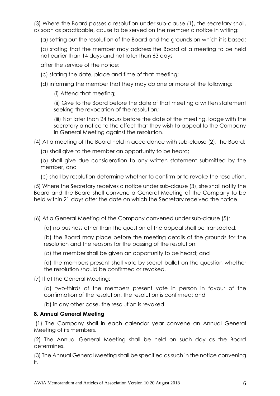(3) Where the Board passes a resolution under sub-clause (1), the secretary shall, as soon as practicable, cause to be served on the member a notice in writing:

(a) setting out the resolution of the Board and the grounds on which it is based;

(b) stating that the member may address the Board at a meeting to be held not earlier than 14 days and not later than 63 days

after the service of the notice;

(c) stating the date, place and time of that meeting;

(d) informing the member that they may do one or more of the following:

(i) Attend that meeting;

(ii) Give to the Board before the date of that meeting a written statement seeking the revocation of the resolution;

(iii) Not later than 24 hours before the date of the meeting, lodge with the secretary a notice to the effect that they wish to appeal to the Company in General Meeting against the resolution.

(4) At a meeting of the Board held in accordance with sub-clause (2), the Board:

(a) shall give to the member an opportunity to be heard;

(b) shall give due consideration to any written statement submitted by the member, and

(c) shall by resolution determine whether to confirm or to revoke the resolution.

(5) Where the Secretary receives a notice under sub-clause (3), she shall notify the Board and the Board shall convene a General Meeting of the Company to be held within 21 days after the date on which the Secretary received the notice.

(6) At a General Meeting of the Company convened under sub-clause (5):

(a) no business other than the question of the appeal shall be transacted;

(b) the Board may place before the meeting details of the grounds for the resolution and the reasons for the passing of the resolution;

(c) the member shall be given an opportunity to be heard; and

(d) the members present shall vote by secret ballot on the question whether the resolution should be confirmed or revoked.

(7) If at the General Meeting:

(a) two-thirds of the members present vote in person in favour of the confirmation of the resolution, the resolution is confirmed; and

(b) in any other case, the resolution is revoked.

# **8. Annual General Meeting**

(1) The Company shall in each calendar year convene an Annual General Meeting of its members.

(2) The Annual General Meeting shall be held on such day as the Board determines.

(3) The Annual General Meeting shall be specified as such in the notice convening it.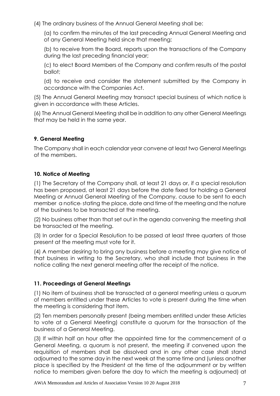(4) The ordinary business of the Annual General Meeting shall be:

(a) to confirm the minutes of the last preceding Annual General Meeting and of any General Meeting held since that meeting;

(b) to receive from the Board, reports upon the transactions of the Company during the last preceding financial year;

(c) to elect Board Members of the Company and confirm results of the postal ballot;

(d) to receive and consider the statement submitted by the Company in accordance with the Companies Act.

(5) The Annual General Meeting may transact special business of which notice is given in accordance with these Articles.

(6) The Annual General Meeting shall be in addition to any other General Meetings that may be held in the same year.

# **9. General Meeting**

The Company shall in each calendar year convene at least two General Meetings of the members.

# **10. Notice of Meeting**

(1) The Secretary of the Company shall, at least 21 days or, if a special resolution has been proposed, at least 21 days before the date fixed for holding a General Meeting or Annual General Meeting of the Company, cause to be sent to each member a notice stating the place, date and time of the meeting and the nature of the business to be transacted at the meeting.

(2) No business other than that set out in the agenda convening the meeting shall be transacted at the meeting.

(3) In order for a Special Resolution to be passed at least three quarters of those present at the meeting must vote for it.

(4) A member desiring to bring any business before a meeting may give notice of that business in writing to the Secretary, who shall include that business in the notice calling the next general meeting after the receipt of the notice.

# **11. Proceedings at General Meetings**

(1) No item of business shall be transacted at a general meeting unless a quorum of members entitled under these Articles to vote is present during the time when the meeting is considering that item.

(2) Ten members personally present (being members entitled under these Articles to vote at a General Meeting) constitute a quorum for the transaction of the business of a General Meeting.

(3) If within half an hour after the appointed time for the commencement of a General Meeting, a quorum is not present, the meeting if convened upon the requisition of members shall be dissolved and in any other case shall stand adjourned to the same day in the next week at the same time and (unless another place is specified by the President at the time of the adjournment or by written notice to members given before the day to which the meeting is adjourned) at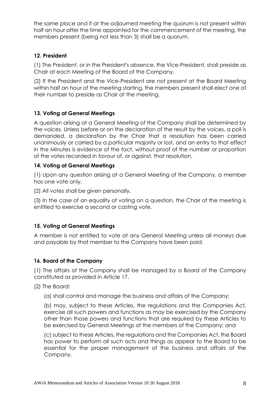the same place and if at the adjourned meeting the quorum is not present within half an hour after the time appointed for the commencement of the meeting, the members present (being not less than 3) shall be a quorum.

#### **12. President**

(1) The President, or in the President's absence, the Vice-President, shall preside as Chair at each Meeting of the Board of the Company.

(2) If the President and the Vice-President are not present at the Board Meeting within half an hour of the meeting starting, the members present shall elect one of their number to preside as Chair at the meeting.

# **13. Voting at General Meetings**

A question arising at a General Meeting of the Company shall be determined by the voices. Unless before or on the declaration of the result by the voices, a poll is demanded, a declaration by the Chair that a resolution has been carried unanimously or carried by a particular majority or lost, and an entry to that effect in the Minutes is evidence of the fact, without proof of the number or proportion of the votes recorded in favour of, or against, that resolution.

#### **14. Voting at General Meetings**

(1) Upon any question arising at a General Meeting of the Company, a member has one vote only.

(2) All votes shall be given personally.

(3) In the case of an equality of voting on a question, the Chair of the meeting is entitled to exercise a second or casting vote.

# **15. Voting at General Meetings**

A member is not entitled to vote at any General Meeting unless all moneys due and payable by that member to the Company have been paid.

# **16. Board of the Company**

(1) The affairs of the Company shall be managed by a Board of the Company constituted as provided in Article 17.

(2) The Board:

(a) shall control and manage the business and affairs of the Company;

(b) may, subject to these Articles, the regulations and the Companies Act, exercise all such powers and functions as may be exercised by the Company other than those powers and functions that are required by these Articles to be exercised by General Meetings of the members of the Company; and

(c) subject to these Articles, the regulations and the Companies Act, the Board has power to perform all such acts and things as appear to the Board to be essential for the proper management of the business and affairs of the Company.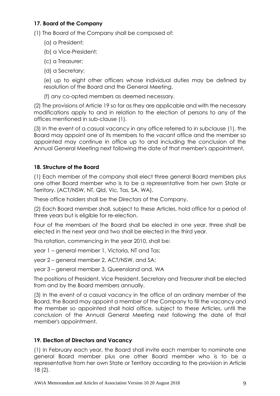# **17. Board of the Company**

(1) The Board of the Company shall be composed of:

- (a) a President;
- (b) a Vice-President;
- (c) a Treasurer;
- (d) a Secretary;

(e) up to eight other officers whose individual duties may be defined by resolution of the Board and the General Meeting.

(f) any co-opted members as deemed necessary.

(2) The provisions of Article 19 so far as they are applicable and with the necessary modifications apply to and in relation to the election of persons to any of the offices mentioned in sub-clause (1).

(3) In the event of a casual vacancy in any office referred to in subclause (1), the Board may appoint one of its members to the vacant office and the member so appointed may continue in office up to and including the conclusion of the Annual General Meeting next following the date of that member's appointment.

# **18. Structure of the Board**

(1) Each member of the company shall elect three general Board members plus one other Board member who is to be a representative from her own State or Territory. (ACT/NSW, NT, Qld, Vic, Tas, SA, WA).

These office holders shall be the Directors of the Company.

(2) Each Board member shall, subject to these Articles, hold office for a period of three years but is eligible for re-election.

Four of the members of the Board shall be elected in one year, three shall be elected in the next year and two shall be elected in the third year.

This rotation, commencing in the year 2010, shall be:

year 1 – general member 1, Victoria, NT and Tas;

year 2 – general member 2, ACT/NSW, and SA;

year 3 – general member 3, Queensland and. WA

The positions of President, Vice President, Secretary and Treasurer shall be elected from and by the Board members annually.

(3) In the event of a casual vacancy in the office of an ordinary member of the Board, the Board may appoint a member of the Company to fill the vacancy and the member so appointed shall hold office, subject to these Articles, until the conclusion of the Annual General Meeting next following the date of that member's appointment.

# **19. Election of Directors and Vacancy**

(1) In February each year, the Board shall invite each member to nominate one general Board member plus one other Board member who is to be a representative from her own State or Territory according to the provision in Article 18 (2).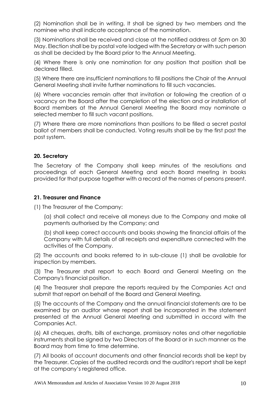(2) Nomination shall be in writing. It shall be signed by two members and the nominee who shall indicate acceptance of the nomination.

(3) Nominations shall be received and close at the notified address at 5pm on 30 May. Election shall be by postal vote lodged with the Secretary or with such person as shall be decided by the Board prior to the Annual Meeting.

(4) Where there is only one nomination for any position that position shall be declared filled.

(5) Where there are insufficient nominations to fill positions the Chair of the Annual General Meeting shall invite further nominations to fill such vacancies.

(6) Where vacancies remain after that invitation or following the creation of a vacancy on the Board after the completion of the election and or installation of Board members at the Annual General Meeting the Board may nominate a selected member to fill such vacant positions.

(7) Where there are more nominations than positions to be filled a secret postal ballot of members shall be conducted. Voting results shall be by the first past the post system.

#### **20. Secretary**

The Secretary of the Company shall keep minutes of the resolutions and proceedings of each General Meeting and each Board meeting in books provided for that purpose together with a record of the names of persons present.

#### **21. Treasurer and Finance**

(1) The Treasurer of the Company:

(a) shall collect and receive all moneys due to the Company and make all payments authorised by the Company; and

(b) shall keep correct accounts and books showing the financial affairs of the Company with full details of all receipts and expenditure connected with the activities of the Company.

(2) The accounts and books referred to in sub-clause (1) shall be available for inspection by members.

(3) The Treasurer shall report to each Board and General Meeting on the Company's financial position.

(4) The Treasurer shall prepare the reports required by the Companies Act and submit that report on behalf of the Board and General Meeting.

(5) The accounts of the Company and the annual financial statements are to be examined by an auditor whose report shall be incorporated in the statement presented at the Annual General Meeting and submitted in accord with the Companies Act.

(6) All cheques, drafts, bills of exchange, promissory notes and other negotiable instruments shall be signed by two Directors of the Board or in such manner as the Board may from time to time determine.

(7) All books of account documents and other financial records shall be kept by the Treasurer. Copies of the audited records and the auditor's report shall be kept at the company's registered office.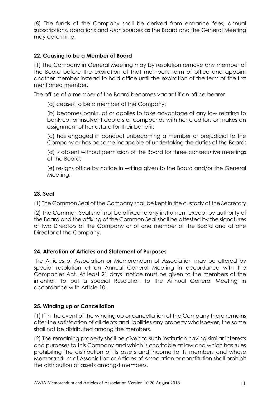(8) The funds of the Company shall be derived from entrance fees, annual subscriptions, donations and such sources as the Board and the General Meeting may determine.

#### **22. Ceasing to be a Member of Board**

(1) The Company in General Meeting may by resolution remove any member of the Board before the expiration of that member's term of office and appoint another member instead to hold office until the expiration of the term of the first mentioned member.

The office of a member of the Board becomes vacant if an office bearer

(a) ceases to be a member of the Company;

(b) becomes bankrupt or applies to take advantage of any law relating to bankrupt or insolvent debtors or compounds with her creditors or makes an assignment of her estate for their benefit;

(c) has engaged in conduct unbecoming a member or prejudicial to the Company or has become incapable of undertaking the duties of the Board;

(d) is absent without permission of the Board for three consecutive meetings of the Board;

(e) resigns office by notice in writing given to the Board and/or the General Meeting.

#### **23. Seal**

(1) The Common Seal of the Company shall be kept in the custody of the Secretary.

(2) The Common Seal shall not be affixed to any instrument except by authority of the Board and the affixing of the Common Seal shall be attested by the signatures of two Directors of the Company or of one member of the Board and of one Director of the Company.

# **24. Alteration of Articles and Statement of Purposes**

The Articles of Association or Memorandum of Association may be altered by special resolution at an Annual General Meeting in accordance with the Companies Act. At least 21 days' notice must be given to the members of the intention to put a special Resolution to the Annual General Meeting in accordance with Article 10.

#### **25. Winding up or Cancellation**

(1) If in the event of the winding up or cancellation of the Company there remains after the satisfaction of all debts and liabilities any property whatsoever, the same shall not be distributed among the members.

(2) The remaining property shall be given to such institution having similar interests and purposes to this Company and which is charitable at law and which has rules prohibiting the distribution of its assets and income to its members and whose Memorandum of Association or Articles of Association or constitution shall prohibit the distribution of assets amongst members.